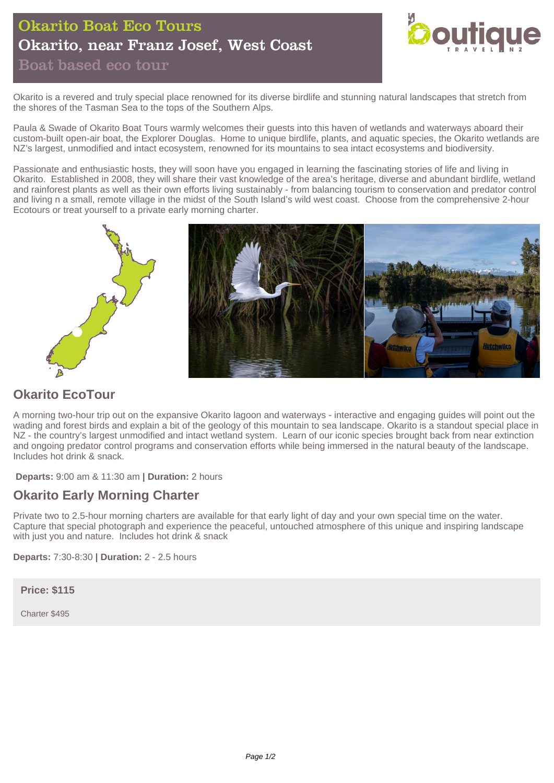# Okarito Boat Eco Tours Okarito, near Franz Josef, West Coast Boat based eco tour



Okarito is a revered and truly special place renowned for its diverse birdlife and stunning natural landscapes that stretch from the shores of the Tasman Sea to the tops of the Southern Alps.

Paula & Swade of Okarito Boat Tours warmly welcomes their guests into this haven of wetlands and waterways aboard their custom-built open-air boat, the Explorer Douglas. Home to unique birdlife, plants, and aquatic species, the Okarito wetlands are NZ's largest, unmodified and intact ecosystem, renowned for its mountains to sea intact ecosystems and biodiversity.

Passionate and enthusiastic hosts, they will soon have you engaged in learning the fascinating stories of life and living in Okarito. Established in 2008, they will share their vast knowledge of the area's heritage, diverse and abundant birdlife, wetland and rainforest plants as well as their own efforts living sustainably - from balancing tourism to conservation and predator control and living n a small, remote village in the midst of the South Island's wild west coast. Choose from the comprehensive 2-hour Ecotours or treat yourself to a private early morning charter.



## **Okarito EcoTour**

A morning two-hour trip out on the expansive Okarito lagoon and waterways - interactive and engaging guides will point out the wading and forest birds and explain a bit of the geology of this mountain to sea landscape. Okarito is a standout special place in NZ - the country's largest unmodified and intact wetland system. Learn of our iconic species brought back from near extinction and ongoing predator control programs and conservation efforts while being immersed in the natural beauty of the landscape. Includes hot drink & snack.

**Departs:** 9:00 am & 11:30 am **| Duration:** 2 hours

## **Okarito Early Morning Charter**

Private two to 2.5-hour morning charters are available for that early light of day and your own special time on the water. Capture that special photograph and experience the peaceful, untouched atmosphere of this unique and inspiring landscape with just you and nature. Includes hot drink & snack

**Departs:** 7:30-8:30 **| Duration:** 2 - 2.5 hours

#### **Price: \$115**

Charter \$495